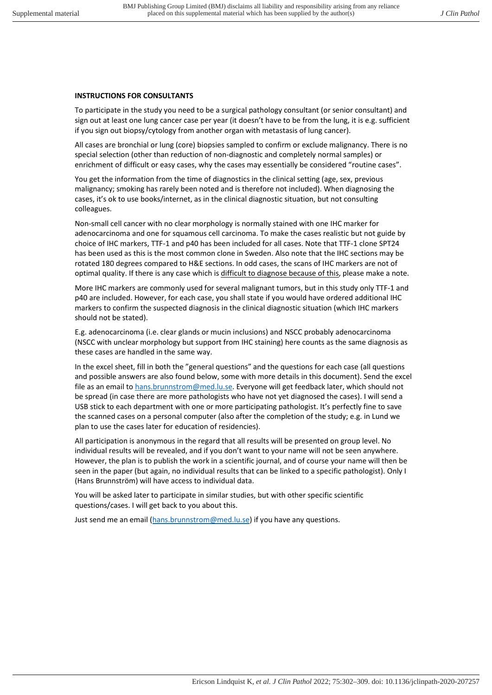# **INSTRUCTIONS FOR CONSULTANTS**

To participate in the study you need to be a surgical pathology consultant (or senior consultant) and sign out at least one lung cancer case per year (it doesn't have to be from the lung, it is e.g. sufficient if you sign out biopsy/cytology from another organ with metastasis of lung cancer).

All cases are bronchial or lung (core) biopsies sampled to confirm or exclude malignancy. There is no special selection (other than reduction of non-diagnostic and completely normal samples) or enrichment of difficult or easy cases, why the cases may essentially be considered "routine cases".

You get the information from the time of diagnostics in the clinical setting (age, sex, previous malignancy; smoking has rarely been noted and is therefore not included). When diagnosing the cases, it's ok to use books/internet, as in the clinical diagnostic situation, but not consulting colleagues.

Non-small cell cancer with no clear morphology is normally stained with one IHC marker for adenocarcinoma and one for squamous cell carcinoma. To make the cases realistic but not guide by choice of IHC markers, TTF-1 and p40 has been included for all cases. Note that TTF-1 clone SPT24 has been used as this is the most common clone in Sweden. Also note that the IHC sections may be rotated 180 degrees compared to H&E sections. In odd cases, the scans of IHC markers are not of optimal quality. If there is any case which is difficult to diagnose because of this, please make a note.

More IHC markers are commonly used for several malignant tumors, but in this study only TTF-1 and p40 are included. However, for each case, you shall state if you would have ordered additional IHC markers to confirm the suspected diagnosis in the clinical diagnostic situation (which IHC markers should not be stated).

E.g. adenocarcinoma (i.e. clear glands or mucin inclusions) and NSCC probably adenocarcinoma (NSCC with unclear morphology but support from IHC staining) here counts as the same diagnosis as these cases are handled in the same way.

In the excel sheet, fill in both the "general questions" and the questions for each case (all questions and possible answers are also found below, some with more details in this document). Send the excel file as an email t[o hans.brunnstrom@med.lu.se.](mailto:hans.brunnstrom@med.lu.se) Everyone will get feedback later, which should not be spread (in case there are more pathologists who have not yet diagnosed the cases). I will send a USB stick to each department with one or more participating pathologist. It's perfectly fine to save the scanned cases on a personal computer (also after the completion of the study; e.g. in Lund we plan to use the cases later for education of residencies).

All participation is anonymous in the regard that all results will be presented on group level. No individual results will be revealed, and if you don't want to your name will not be seen anywhere. However, the plan is to publish the work in a scientific journal, and of course your name will then be seen in the paper (but again, no individual results that can be linked to a specific pathologist). Only I (Hans Brunnström) will have access to individual data.

You will be asked later to participate in similar studies, but with other specific scientific questions/cases. I will get back to you about this.

Just send me an email [\(hans.brunnstrom@med.lu.se\)](mailto:hans.brunnstrom@med.lu.se) if you have any questions.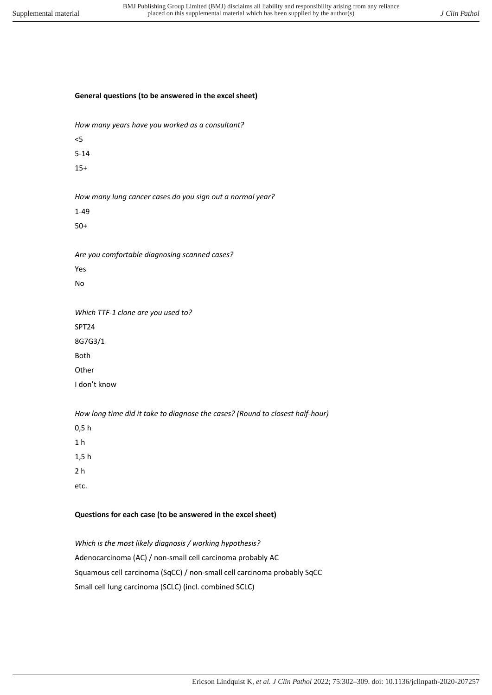# **General questions (to be answered in the excel sheet)**

*How many years have you worked as a consultant?*

<5

5-14

15+

*How many lung cancer cases do you sign out a normal year?* 

1-49

50+

*Are you comfortable diagnosing scanned cases?* 

Yes

No

*Which TTF-1 clone are you used to?*  SPT24 8G7G3/1

Both

**Other** 

I don't know

*How long time did it take to diagnose the cases? (Round to closest half-hour)* 

0,5 h

1 h

1,5 h

2 h

etc.

# **Questions for each case (to be answered in the excel sheet)**

*Which is the most likely diagnosis / working hypothesis?*  Adenocarcinoma (AC) / non-small cell carcinoma probably AC Squamous cell carcinoma (SqCC) / non-small cell carcinoma probably SqCC Small cell lung carcinoma (SCLC) (incl. combined SCLC)